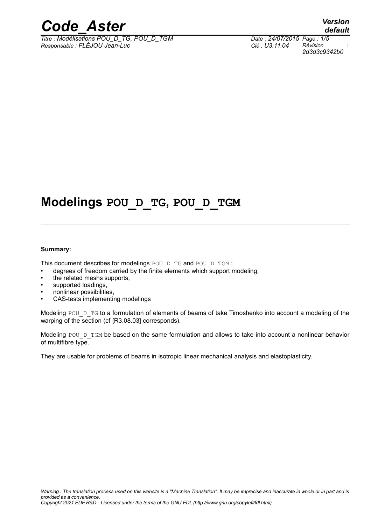

*Titre : Modélisations POU\_D\_TG, POU\_D\_TGM Date : 24/07/2015 Page : 1/5 Responsable : FLÉJOU Jean-Luc Clé : U3.11.04 Révision :*

*default 2d3d3c9342b0*

# **Modelings POU\_D\_TG, POU\_D\_TGM**

#### **Summary:**

This document describes for modelings POU\_D\_TG and POU\_D\_TGM :

- degrees of freedom carried by the finite elements which support modeling,
- the related meshs supports,
- supported loadings,
- nonlinear possibilities,
- CAS-tests implementing modelings

Modeling POU  $D_{T}G$  to a formulation of elements of beams of take Timoshenko into account a modeling of the warping of the section (cf [R3.08.03] corresponds).

Modeling POU D TGM be based on the same formulation and allows to take into account a nonlinear behavior of multifibre type.

They are usable for problems of beams in isotropic linear mechanical analysis and elastoplasticity.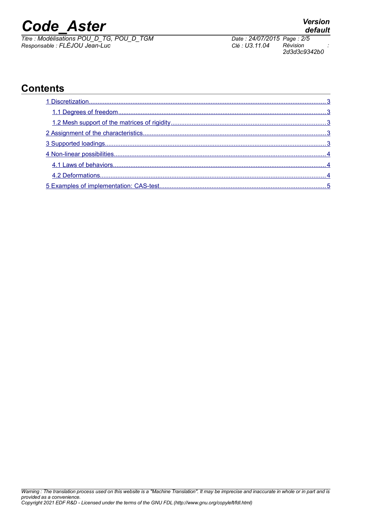*Titre : Modélisations POU\_D\_TG, POU\_D\_TGM Date : 24/07/2015 Page : 2/5 Responsable : FLÉJOU Jean-Luc Clé : U3.11.04 Révision :*

#### **Contents**

*2d3d3c9342b0*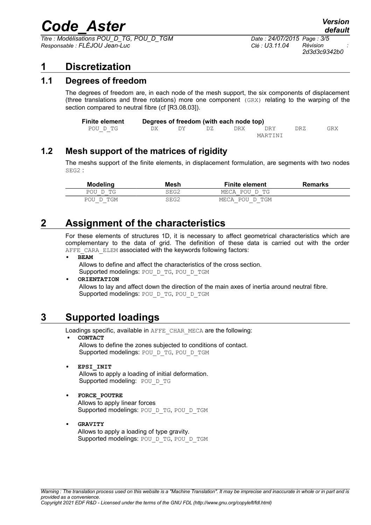*Titre : Modélisations POU\_D\_TG, POU\_D\_TGM Date : 24/07/2015 Page : 3/5 Responsable : FLÉJOU Jean-Luc Clé : U3.11.04 Révision :*

### <span id="page-2-4"></span>**1 Discretization**

#### **1.1 Degrees of freedom**

<span id="page-2-3"></span>The degrees of freedom are, in each node of the mesh support, the six components of displacement (three translations and three rotations) more one component (GRX) relating to the warping of the section compared to neutral fibre (cf IR3.08.031).

| <b>Finite element</b> |         |  |     | Degrees of freedom (with each node top) |     |     |     |
|-----------------------|---------|--|-----|-----------------------------------------|-----|-----|-----|
| POU D TG              | DX      |  | DZ. | DRX.                                    | DRY | DRZ | GRX |
|                       | MARTINI |  |     |                                         |     |     |     |

#### **1.2 Mesh support of the matrices of rigidity**

<span id="page-2-2"></span>The meshs support of the finite elements, in displacement formulation, are segments with two nodes SEG2 :

| <b>Modeling</b> | Mesh | <b>Finite element</b> | <b>Remarks</b> |
|-----------------|------|-----------------------|----------------|
| POU D TG        | SEG2 | MECA POU D TG         |                |
| POU D TGM       | SEG2 | MECA POU D TGM        |                |

## **2 Assignment of the characteristics**

<span id="page-2-1"></span>For these elements of structures 1D, it is necessary to affect geometrical characteristics which are complementary to the data of grid. The definition of these data is carried out with the order AFFE\_CARA\_ELEM associated with the keywords following factors:

**• BEAM**

Allows to define and affect the characteristics of the cross section.

Supported modelings: POU D TG, POU\_D\_TGM

#### **• ORIENTATION**

Allows to lay and affect down the direction of the main axes of inertia around neutral fibre. Supported modelings: POU D\_TG, POU\_D\_TGM

#### **3 Supported loadings**

<span id="page-2-0"></span>Loadings specific, available in AFFE\_CHAR\_MECA are the following:

- **• CONTACT** Allows to define the zones subjected to conditions of contact. Supported modelings: POU D\_TG, POU\_D\_TGM
- **• EPSI\_INIT** Allows to apply a loading of initial deformation. Supported modeling: POU D TG
- **• FORCE\_POUTRE** Allows to apply linear forces Supported modelings: POU\_D\_TG, POU\_D\_TGM
- **• GRAVITY** Allows to apply a loading of type gravity. Supported modelings: POU D\_TG, POU\_D\_TGM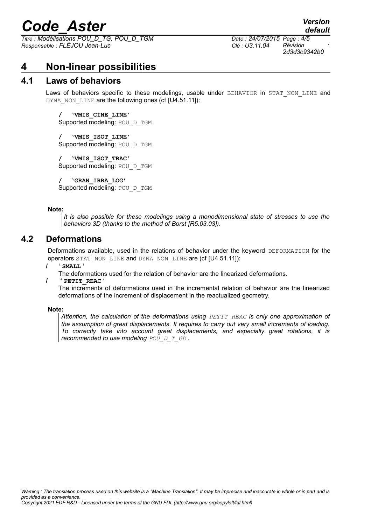*Titre : Modélisations POU\_D\_TG, POU\_D\_TGM Date : 24/07/2015 Page : 4/5 Responsable : FLÉJOU Jean-Luc Clé : U3.11.04 Révision :*

*2d3d3c9342b0*

*default*

## <span id="page-3-2"></span>**4 Non-linear possibilities**

#### **4.1 Laws of behaviors**

<span id="page-3-1"></span>Laws of behaviors specific to these modelings, usable under BEHAVIOR in STAT NON LINE and DYNA\_NON\_LINE are the following ones (cf [U4.51.11]):

**/ 'VMIS\_CINE\_LINE'** Supported modeling: POU\_D\_TGM

**/ 'VMIS\_ISOT\_LINE'** Supported modeling: POU D\_TGM

**/ 'VMIS\_ISOT\_TRAC'** Supported modeling: POU D\_TGM

**/ 'GRAN\_IRRA\_LOG'** Supported modeling: POU\_D\_TGM

#### **Note:**

*It is also possible for these modelings using a monodimensional state of stresses to use the behaviors 3D (thanks to the method of Borst [R5.03.03]).*

#### **4.2 Deformations**

<span id="page-3-0"></span>Deformations available, used in the relations of behavior under the keyword DEFORMATION for the operators STAT\_NON\_LINE and DYNA\_NON\_LINE are (cf [U4.51.11]):

**/ ' SMALL '**

The deformations used for the relation of behavior are the linearized deformations.

**/ ' PETIT\_REAC '**

The increments of deformations used in the incremental relation of behavior are the linearized deformations of the increment of displacement in the reactualized geometry.

#### **Note:**

*Attention, the calculation of the deformations using PETIT\_REAC is only one approximation of the assumption of great displacements. It requires to carry out very small increments of loading. To correctly take into account great displacements, and especially great rotations, it is recommended to use modeling POU D T GD.*